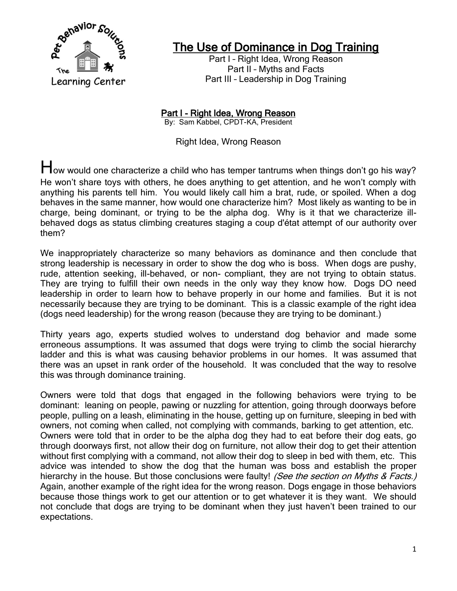

## The Use of Dominance in Dog Training

Part I - Right Idea, Wrong Reason Part II – Myths and Facts Part III – Leadership in Dog Training

Part I - Right Idea, Wrong Reason By: Sam Kabbel, CPDT-KA, President

Right Idea, Wrong Reason

How would one characterize a child who has temper tantrums when things don't go his way? He won't share toys with others, he does anything to get attention, and he won't comply with anything his parents tell him. You would likely call him a brat, rude, or spoiled. When a dog behaves in the same manner, how would one characterize him? Most likely as wanting to be in charge, being dominant, or trying to be the alpha dog. Why is it that we characterize illbehaved dogs as status climbing creatures staging a coup d'état attempt of our authority over them?

We inappropriately characterize so many behaviors as dominance and then conclude that strong leadership is necessary in order to show the dog who is boss. When dogs are pushy, rude, attention seeking, ill-behaved, or non- compliant, they are not trying to obtain status. They are trying to fulfill their own needs in the only way they know how. Dogs DO need leadership in order to learn how to behave properly in our home and families. But it is not necessarily because they are trying to be dominant. This is a classic example of the right idea (dogs need leadership) for the wrong reason (because they are trying to be dominant.)

Thirty years ago, experts studied wolves to understand dog behavior and made some erroneous assumptions. It was assumed that dogs were trying to climb the social hierarchy ladder and this is what was causing behavior problems in our homes. It was assumed that there was an upset in rank order of the household. It was concluded that the way to resolve this was through dominance training.

Owners were told that dogs that engaged in the following behaviors were trying to be dominant: leaning on people, pawing or nuzzling for attention, going through doorways before people, pulling on a leash, eliminating in the house, getting up on furniture, sleeping in bed with owners, not coming when called, not complying with commands, barking to get attention, etc. Owners were told that in order to be the alpha dog they had to eat before their dog eats, go through doorways first, not allow their dog on furniture, not allow their dog to get their attention without first complying with a command, not allow their dog to sleep in bed with them, etc. This advice was intended to show the dog that the human was boss and establish the proper hierarchy in the house. But those conclusions were faulty! (See the section on Myths & Facts.) Again, another example of the right idea for the wrong reason. Dogs engage in those behaviors because those things work to get our attention or to get whatever it is they want. We should not conclude that dogs are trying to be dominant when they just haven't been trained to our expectations.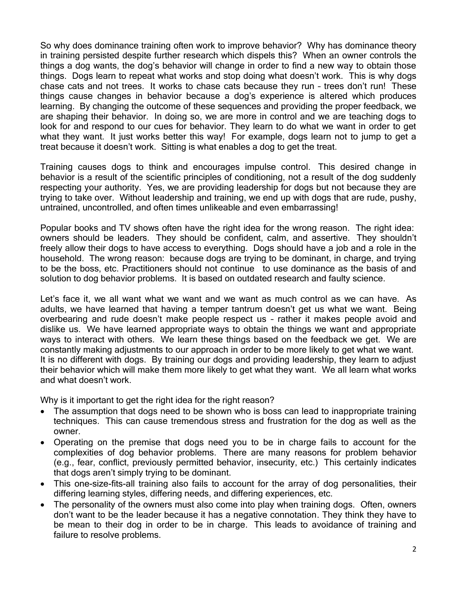So why does dominance training often work to improve behavior? Why has dominance theory in training persisted despite further research which dispels this? When an owner controls the things a dog wants, the dog's behavior will change in order to find a new way to obtain those things. Dogs learn to repeat what works and stop doing what doesn't work. This is why dogs chase cats and not trees. It works to chase cats because they run – trees don't run! These things cause changes in behavior because a dog's experience is altered which produces learning. By changing the outcome of these sequences and providing the proper feedback, we are shaping their behavior. In doing so, we are more in control and we are teaching dogs to look for and respond to our cues for behavior. They learn to do what we want in order to get what they want. It just works better this way! For example, dogs learn not to jump to get a treat because it doesn't work. Sitting is what enables a dog to get the treat.

Training causes dogs to think and encourages impulse control. This desired change in behavior is a result of the scientific principles of conditioning, not a result of the dog suddenly respecting your authority. Yes, we are providing leadership for dogs but not because they are trying to take over. Without leadership and training, we end up with dogs that are rude, pushy, untrained, uncontrolled, and often times unlikeable and even embarrassing!

Popular books and TV shows often have the right idea for the wrong reason. The right idea: owners should be leaders. They should be confident, calm, and assertive. They shouldn't freely allow their dogs to have access to everything. Dogs should have a job and a role in the household. The wrong reason: because dogs are trying to be dominant, in charge, and trying to be the boss, etc. Practitioners should not continue to use dominance as the basis of and solution to dog behavior problems. It is based on outdated research and faulty science.

Let's face it, we all want what we want and we want as much control as we can have. As adults, we have learned that having a temper tantrum doesn't get us what we want. Being overbearing and rude doesn't make people respect us – rather it makes people avoid and dislike us. We have learned appropriate ways to obtain the things we want and appropriate ways to interact with others. We learn these things based on the feedback we get. We are constantly making adjustments to our approach in order to be more likely to get what we want. It is no different with dogs. By training our dogs and providing leadership, they learn to adjust their behavior which will make them more likely to get what they want. We all learn what works and what doesn't work.

Why is it important to get the right idea for the right reason?

- The assumption that dogs need to be shown who is boss can lead to inappropriate training techniques. This can cause tremendous stress and frustration for the dog as well as the owner.
- Operating on the premise that dogs need you to be in charge fails to account for the complexities of dog behavior problems. There are many reasons for problem behavior (e.g., fear, conflict, previously permitted behavior, insecurity, etc.) This certainly indicates that dogs aren't simply trying to be dominant.
- This one-size-fits-all training also fails to account for the array of dog personalities, their differing learning styles, differing needs, and differing experiences, etc.
- The personality of the owners must also come into play when training dogs. Often, owners don't want to be the leader because it has a negative connotation. They think they have to be mean to their dog in order to be in charge. This leads to avoidance of training and failure to resolve problems.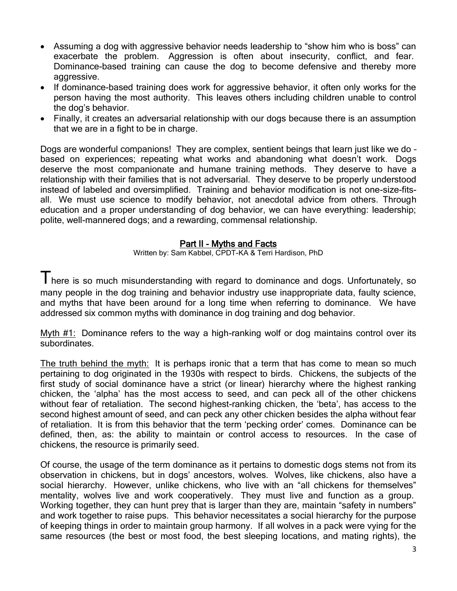- Assuming a dog with aggressive behavior needs leadership to "show him who is boss" can exacerbate the problem. Aggression is often about insecurity, conflict, and fear. Dominance-based training can cause the dog to become defensive and thereby more aggressive.
- If dominance-based training does work for aggressive behavior, it often only works for the person having the most authority. This leaves others including children unable to control the dog's behavior.
- Finally, it creates an adversarial relationship with our dogs because there is an assumption that we are in a fight to be in charge.

Dogs are wonderful companions! They are complex, sentient beings that learn just like we do – based on experiences; repeating what works and abandoning what doesn't work. Dogs deserve the most companionate and humane training methods. They deserve to have a relationship with their families that is not adversarial. They deserve to be properly understood instead of labeled and oversimplified. Training and behavior modification is not one-size-fitsall. We must use science to modify behavior, not anecdotal advice from others. Through education and a proper understanding of dog behavior, we can have everything: leadership; polite, well-mannered dogs; and a rewarding, commensal relationship.

## Part II - Myths and Facts

Written by: Sam Kabbel, CPDT-KA & Terri Hardison, PhD

I here is so much misunderstanding with regard to dominance and dogs. Unfortunately, so many people in the dog training and behavior industry use inappropriate data, faulty science, and myths that have been around for a long time when referring to dominance. We have addressed six common myths with dominance in dog training and dog behavior.

Myth #1: Dominance refers to the way a high-ranking wolf or dog maintains control over its subordinates.

The truth behind the myth: It is perhaps ironic that a term that has come to mean so much pertaining to dog originated in the 1930s with respect to birds. Chickens, the subjects of the first study of social dominance have a strict (or linear) hierarchy where the highest ranking chicken, the ‗alpha' has the most access to seed, and can peck all of the other chickens without fear of retaliation. The second highest-ranking chicken, the 'beta', has access to the second highest amount of seed, and can peck any other chicken besides the alpha without fear of retaliation. It is from this behavior that the term 'pecking order' comes. Dominance can be defined, then, as: the ability to maintain or control access to resources. In the case of chickens, the resource is primarily seed.

Of course, the usage of the term dominance as it pertains to domestic dogs stems not from its observation in chickens, but in dogs' ancestors, wolves. Wolves, like chickens, also have a social hierarchy. However, unlike chickens, who live with an "all chickens for themselves" mentality, wolves live and work cooperatively. They must live and function as a group. Working together, they can hunt prey that is larger than they are, maintain "safety in numbers" and work together to raise pups. This behavior necessitates a social hierarchy for the purpose of keeping things in order to maintain group harmony. If all wolves in a pack were vying for the same resources (the best or most food, the best sleeping locations, and mating rights), the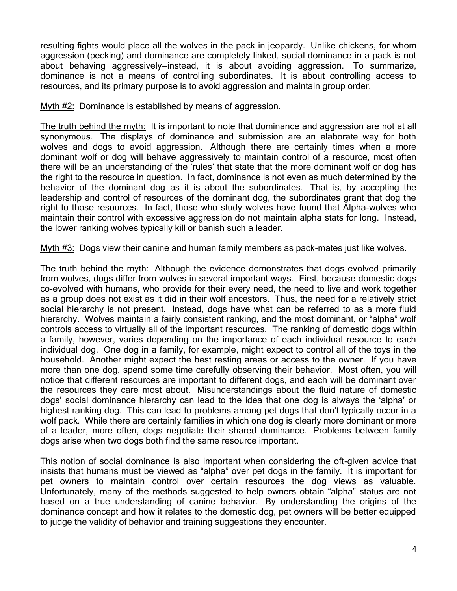resulting fights would place all the wolves in the pack in jeopardy. Unlike chickens, for whom aggression (pecking) and dominance are completely linked, social dominance in a pack is not about behaving aggressively—instead, it is about avoiding aggression. To summarize, dominance is not a means of controlling subordinates. It is about controlling access to resources, and its primary purpose is to avoid aggression and maintain group order.

Myth #2: Dominance is established by means of aggression.

The truth behind the myth: It is important to note that dominance and aggression are not at all synonymous. The displays of dominance and submission are an elaborate way for both wolves and dogs to avoid aggression. Although there are certainly times when a more dominant wolf or dog will behave aggressively to maintain control of a resource, most often there will be an understanding of the 'rules' that state that the more dominant wolf or dog has the right to the resource in question. In fact, dominance is not even as much determined by the behavior of the dominant dog as it is about the subordinates. That is, by accepting the leadership and control of resources of the dominant dog, the subordinates grant that dog the right to those resources. In fact, those who study wolves have found that Alpha-wolves who maintain their control with excessive aggression do not maintain alpha stats for long. Instead, the lower ranking wolves typically kill or banish such a leader.

Myth #3: Dogs view their canine and human family members as pack-mates just like wolves.

The truth behind the myth: Although the evidence demonstrates that dogs evolved primarily from wolves, dogs differ from wolves in several important ways. First, because domestic dogs co-evolved with humans, who provide for their every need, the need to live and work together as a group does not exist as it did in their wolf ancestors. Thus, the need for a relatively strict social hierarchy is not present. Instead, dogs have what can be referred to as a more fluid hierarchy. Wolves maintain a fairly consistent ranking, and the most dominant, or "alpha" wolf controls access to virtually all of the important resources. The ranking of domestic dogs within a family, however, varies depending on the importance of each individual resource to each individual dog. One dog in a family, for example, might expect to control all of the toys in the household. Another might expect the best resting areas or access to the owner. If you have more than one dog, spend some time carefully observing their behavior. Most often, you will notice that different resources are important to different dogs, and each will be dominant over the resources they care most about. Misunderstandings about the fluid nature of domestic dogs' social dominance hierarchy can lead to the idea that one dog is always the ‗alpha' or highest ranking dog. This can lead to problems among pet dogs that don't typically occur in a wolf pack. While there are certainly families in which one dog is clearly more dominant or more of a leader, more often, dogs negotiate their shared dominance. Problems between family dogs arise when two dogs both find the same resource important.

This notion of social dominance is also important when considering the oft-given advice that insists that humans must be viewed as "alpha" over pet dogs in the family. It is important for pet owners to maintain control over certain resources the dog views as valuable. Unfortunately, many of the methods suggested to help owners obtain "alpha" status are not based on a true understanding of canine behavior. By understanding the origins of the dominance concept and how it relates to the domestic dog, pet owners will be better equipped to judge the validity of behavior and training suggestions they encounter.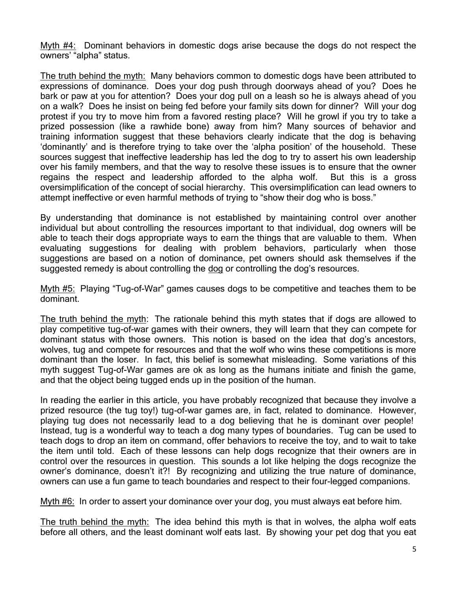Myth #4: Dominant behaviors in domestic dogs arise because the dogs do not respect the owners' "alpha" status.

The truth behind the myth: Many behaviors common to domestic dogs have been attributed to expressions of dominance. Does your dog push through doorways ahead of you? Does he bark or paw at you for attention? Does your dog pull on a leash so he is always ahead of you on a walk? Does he insist on being fed before your family sits down for dinner? Will your dog protest if you try to move him from a favored resting place? Will he growl if you try to take a prized possession (like a rawhide bone) away from him? Many sources of behavior and training information suggest that these behaviors clearly indicate that the dog is behaving ‗dominantly' and is therefore trying to take over the ‗alpha position' of the household. These sources suggest that ineffective leadership has led the dog to try to assert his own leadership over his family members, and that the way to resolve these issues is to ensure that the owner regains the respect and leadership afforded to the alpha wolf. But this is a gross oversimplification of the concept of social hierarchy. This oversimplification can lead owners to attempt ineffective or even harmful methods of trying to "show their dog who is boss."

By understanding that dominance is not established by maintaining control over another individual but about controlling the resources important to that individual, dog owners will be able to teach their dogs appropriate ways to earn the things that are valuable to them. When evaluating suggestions for dealing with problem behaviors, particularly when those suggestions are based on a notion of dominance, pet owners should ask themselves if the suggested remedy is about controlling the dog or controlling the dog's resources.

Myth #5: Playing "Tug-of-War" games causes dogs to be competitive and teaches them to be dominant.

The truth behind the myth: The rationale behind this myth states that if dogs are allowed to play competitive tug-of-war games with their owners, they will learn that they can compete for dominant status with those owners. This notion is based on the idea that dog's ancestors, wolves, tug and compete for resources and that the wolf who wins these competitions is more dominant than the loser. In fact, this belief is somewhat misleading. Some variations of this myth suggest Tug-of-War games are ok as long as the humans initiate and finish the game, and that the object being tugged ends up in the position of the human.

In reading the earlier in this article, you have probably recognized that because they involve a prized resource (the tug toy!) tug-of-war games are, in fact, related to dominance. However, playing tug does not necessarily lead to a dog believing that he is dominant over people! Instead, tug is a wonderful way to teach a dog many types of boundaries. Tug can be used to teach dogs to drop an item on command, offer behaviors to receive the toy, and to wait to take the item until told. Each of these lessons can help dogs recognize that their owners are in control over the resources in question. This sounds a lot like helping the dogs recognize the owner's dominance, doesn't it?! By recognizing and utilizing the true nature of dominance, owners can use a fun game to teach boundaries and respect to their four-legged companions.

Myth #6: In order to assert your dominance over your dog, you must always eat before him.

The truth behind the myth: The idea behind this myth is that in wolves, the alpha wolf eats before all others, and the least dominant wolf eats last. By showing your pet dog that you eat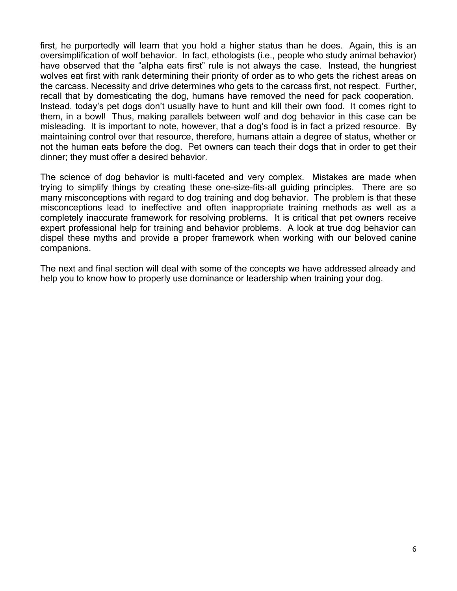first, he purportedly will learn that you hold a higher status than he does. Again, this is an oversimplification of wolf behavior. In fact, ethologists (i.e., people who study animal behavior) have observed that the "alpha eats first" rule is not always the case. Instead, the hungriest wolves eat first with rank determining their priority of order as to who gets the richest areas on the carcass. Necessity and drive determines who gets to the carcass first, not respect. Further, recall that by domesticating the dog, humans have removed the need for pack cooperation. Instead, today's pet dogs don't usually have to hunt and kill their own food. It comes right to them, in a bowl! Thus, making parallels between wolf and dog behavior in this case can be misleading. It is important to note, however, that a dog's food is in fact a prized resource. By maintaining control over that resource, therefore, humans attain a degree of status, whether or not the human eats before the dog. Pet owners can teach their dogs that in order to get their dinner; they must offer a desired behavior.

The science of dog behavior is multi-faceted and very complex. Mistakes are made when trying to simplify things by creating these one-size-fits-all guiding principles. There are so many misconceptions with regard to dog training and dog behavior. The problem is that these misconceptions lead to ineffective and often inappropriate training methods as well as a completely inaccurate framework for resolving problems. It is critical that pet owners receive expert professional help for training and behavior problems. A look at true dog behavior can dispel these myths and provide a proper framework when working with our beloved canine companions.

The next and final section will deal with some of the concepts we have addressed already and help you to know how to properly use dominance or leadership when training your dog.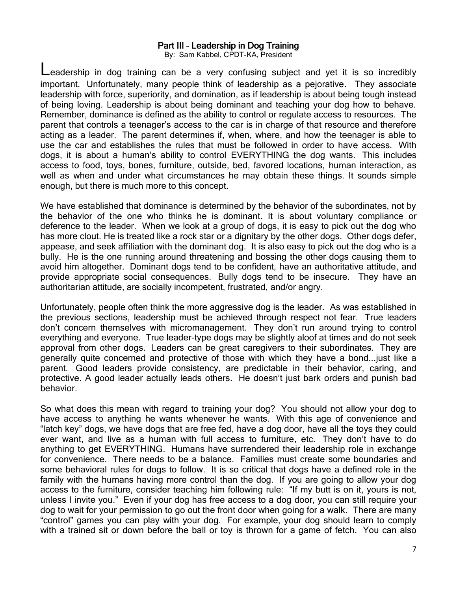## Part III – Leadership in Dog Training

By: Sam Kabbel, CPDT-KA, President

eadership in dog training can be a very confusing subject and yet it is so incredibly important. Unfortunately, many people think of leadership as a pejorative. They associate leadership with force, superiority, and domination, as if leadership is about being tough instead of being loving. Leadership is about being dominant and teaching your dog how to behave. Remember, dominance is defined as the ability to control or regulate access to resources. The parent that controls a teenager's access to the car is in charge of that resource and therefore acting as a leader. The parent determines if, when, where, and how the teenager is able to use the car and establishes the rules that must be followed in order to have access. With dogs, it is about a human's ability to control EVERYTHING the dog wants. This includes access to food, toys, bones, furniture, outside, bed, favored locations, human interaction, as well as when and under what circumstances he may obtain these things. It sounds simple enough, but there is much more to this concept.

We have established that dominance is determined by the behavior of the subordinates, not by the behavior of the one who thinks he is dominant. It is about voluntary compliance or deference to the leader. When we look at a group of dogs, it is easy to pick out the dog who has more clout. He is treated like a rock star or a dignitary by the other dogs. Other dogs defer, appease, and seek affiliation with the dominant dog. It is also easy to pick out the dog who is a bully. He is the one running around threatening and bossing the other dogs causing them to avoid him altogether. Dominant dogs tend to be confident, have an authoritative attitude, and provide appropriate social consequences. Bully dogs tend to be insecure. They have an authoritarian attitude, are socially incompetent, frustrated, and/or angry.

Unfortunately, people often think the more aggressive dog is the leader. As was established in the previous sections, leadership must be achieved through respect not fear. True leaders don't concern themselves with micromanagement. They don't run around trying to control everything and everyone. True leader-type dogs may be slightly aloof at times and do not seek approval from other dogs. Leaders can be great caregivers to their subordinates. They are generally quite concerned and protective of those with which they have a bond...just like a parent. Good leaders provide consistency, are predictable in their behavior, caring, and protective. A good leader actually leads others. He doesn't just bark orders and punish bad behavior.

So what does this mean with regard to training your dog? You should not allow your dog to have access to anything he wants whenever he wants. With this age of convenience and ―latch key‖ dogs, we have dogs that are free fed, have a dog door, have all the toys they could ever want, and live as a human with full access to furniture, etc. They don't have to do anything to get EVERYTHING. Humans have surrendered their leadership role in exchange for convenience. There needs to be a balance. Families must create some boundaries and some behavioral rules for dogs to follow. It is so critical that dogs have a defined role in the family with the humans having more control than the dog. If you are going to allow your dog access to the furniture, consider teaching him following rule: "If my butt is on it, yours is not, unless I invite you." Even if your dog has free access to a dog door, you can still require your dog to wait for your permission to go out the front door when going for a walk. There are many ―control‖ games you can play with your dog. For example, your dog should learn to comply with a trained sit or down before the ball or toy is thrown for a game of fetch. You can also